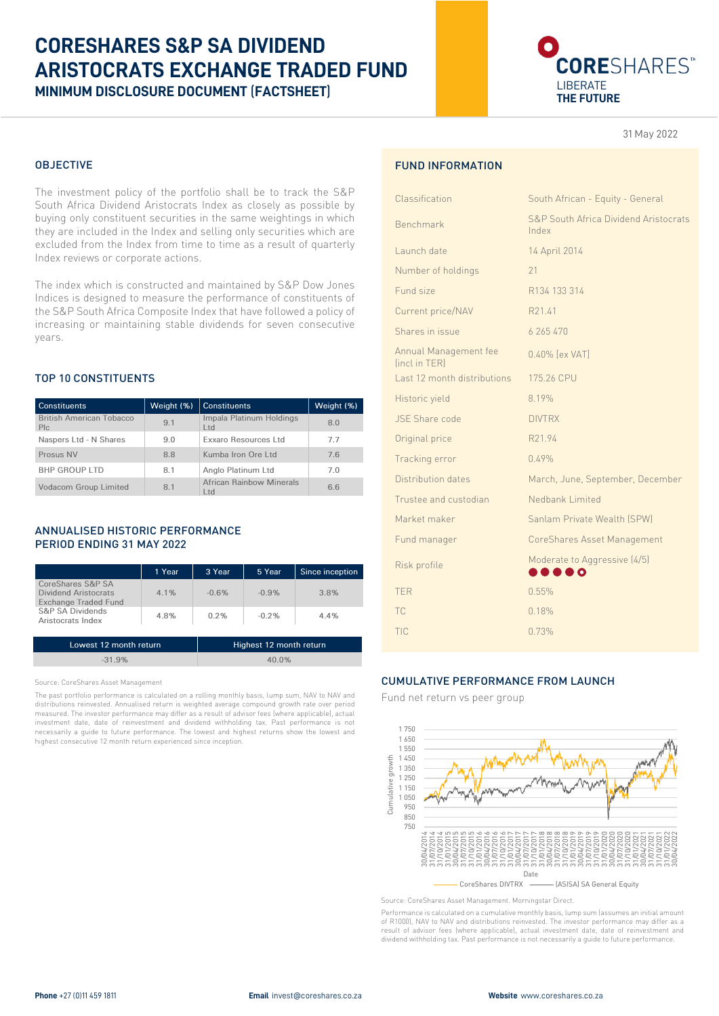## **CORESHARES S&P SA DIVIDEND ARISTOCRATS EXCHANGE TRADED FUND MINIMUM DISCLOSURE DOCUMENT** (**FACTSHEET**)

# CORESHARES<sup>®</sup> LIBERATE **THE FUTURE**

31 May 2022

#### OBJECTIVE

The investment policy of the portfolio shall be to track the S&P South Africa Dividend Aristocrats Index as closely as possible by buying only constituent securities in the same weightings in which they are included in the Index and selling only securities which are excluded from the Index from time to time as a result of quarterly Index reviews or corporate actions.

The index which is constructed and maintained by S&P Dow Jones Indices is designed to measure the performance of constituents of the S&P South Africa Composite Index that have followed a policy of increasing or maintaining stable dividends for seven consecutive years.

#### TOP 10 CONSTITUENTS

| <b>Constituents</b>                    | Weight (%) | <b>Constituents</b>             | Weight (%) |
|----------------------------------------|------------|---------------------------------|------------|
| <b>British American Tobacco</b><br>Pic | 9.1        | Impala Platinum Holdings<br>Ltd | 8.0        |
| Naspers Ltd - N Shares                 | 9.0        | <b>Exxaro Resources Ltd</b>     | 7.7        |
| Prosus NV                              | 8.8        | Kumba Iron Ore Ltd              | 7.6        |
| <b>BHP GROUP LTD</b>                   | 8.1        | Anglo Platinum Ltd              | 7.0        |
| Vodacom Group Limited                  | 8.1        | African Rainbow Minerals<br>Ltd | 6.6        |

#### ANNUALISED HISTORIC PERFORMANCE PERIOD ENDING 31 MAY 2022

|                                                                          | 1 Year | 3 Year                  | 5 Year   | Since inception |  |
|--------------------------------------------------------------------------|--------|-------------------------|----------|-----------------|--|
| CoreShares S&P SA<br>Dividend Aristocrats<br><b>Exchange Traded Fund</b> | 4.1%   | $-0.6%$                 | $-0.9%$  | 3.8%            |  |
| S&P SA Dividends<br>Aristocrats Index                                    | 4.8%   | 0.2%                    | $-0.2\%$ | 4.4%            |  |
|                                                                          |        |                         |          |                 |  |
| Lowest 12 month return                                                   |        | Highest 12 month return |          |                 |  |
| $-31.9%$                                                                 |        |                         |          |                 |  |

Source: CoreShares Asset Management

The past portfolio performance is calculated on a rolling monthly basis, lump sum, NAV to NAV and distributions reinvested. Annualised return is weighted average compound growth rate over period measured. The investor performance may differ as a result of advisor fees (where applicable), actual investment date, date of reinvestment and dividend withholding tax. Past performance is not necessarily a guide to future performance. The lowest and highest returns show the lowest and highest consecutive 12 month return experienced since inception.

### FUND INFORMATION

| Classification                         | South African - Equity - General                          |
|----------------------------------------|-----------------------------------------------------------|
| Benchmark                              | <b>S&amp;P South Africa Dividend Aristocrats</b><br>Index |
| Launch date                            | 14 April 2014                                             |
| Number of holdings                     | 21                                                        |
| Fund size                              | R134 133 314                                              |
| Current price/NAV                      | R21.41                                                    |
| Shares in issue                        | 6 265 470                                                 |
| Annual Management fee<br>lincl in TERI | 0.40% [ex VAT]                                            |
| Last 12 month distributions            | 175.26 CPU                                                |
| Historic yield                         | 8.19%                                                     |
| JSE Share code                         | <b>DIVTRX</b>                                             |
| Original price                         | R <sub>21.94</sub>                                        |
| Tracking error                         | 0.49%                                                     |
| Distribution dates                     | March, June, September, December                          |
| Trustee and custodian                  | Nedbank Limited                                           |
| Market maker                           | Sanlam Private Wealth (SPW)                               |
| Fund manager                           | <b>CoreShares Asset Management</b>                        |
| Risk profile                           | Moderate to Aggressive (4/5)                              |
| <b>TER</b>                             | 0.55%                                                     |
| <b>TC</b>                              | 0.18%                                                     |
| TIC                                    | 0.73%                                                     |

#### CUMULATIVE PERFORMANCE FROM LAUNCH

Fund net return vs peer group



Source: CoreShares Asset Management. Morningstar Direct.

Performance is calculated on a cumulative monthly basis, lump sum (assumes an initial amount of R1000), NAV to NAV and distributions reinvested. The investor performance may differ as a result of advisor fees (where applicable), actual investment date, date of reinvestment and dividend withholding tax. Past performance is not necessarily a guide to future performance.